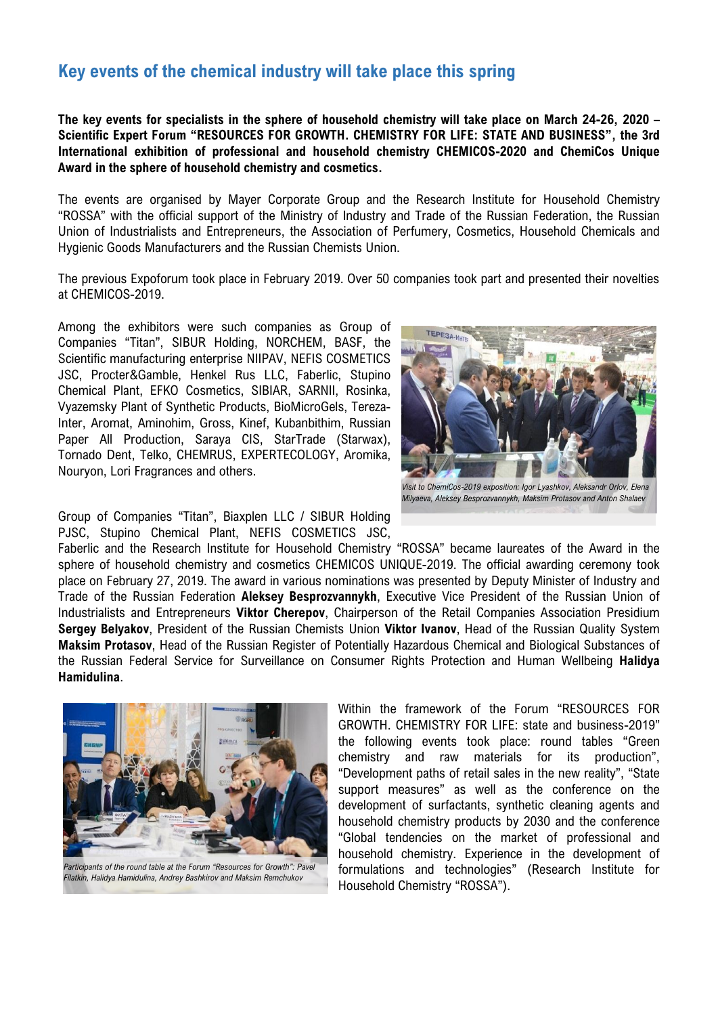# **Key events of the chemical industry will take place this spring**

**The key events for specialists in the sphere of household chemistry will take place on March 24-26, 2020 – Scientific Expert Forum "RESOURCES FOR GROWTH. CHEMISTRY FOR LIFE: STATE AND BUSINESS", the 3rd International exhibition of professional and household chemistry CHEMICOS-2020 and ChemiCos Unique Award in the sphere of household chemistry and cosmetics.**

The events are organised by Mayer Corporate Group and the Research Institute for Household Chemistry "ROSSA" with the official support of the Ministry of Industry and Trade of the Russian Federation, the Russian Union of Industrialists and Entrepreneurs, the Association of Perfumery, Cosmetics, Household Chemicals and Hygienic Goods Manufacturers and the Russian Chemists Union.

The previous Expoforum took place in February 2019. Over 50 companies took part and presented their novelties at CHEMICOS-2019.

Among the exhibitors were such companies as Group of Companies "Titan", SIBUR Holding, NORCHEM, BASF, the Scientific manufacturing enterprise NIIPAV, NEFIS COSMETICS JSC, Procter&Gamble, Henkel Rus LLC, Faberlic, Stupino Chemical Plant, EFKO Cosmetics, SIBIAR, SARNII, Rosinka, Vyazemsky Plant of Synthetic Products, BioMicroGels, Tereza-Inter, Aromat, Aminohim, Gross, Kinef, Kubanbithim, Russian Paper All Production, Saraya CIS, StarTrade (Starwax), Tornado Dent, Telko, CHEMRUS, EXPERTECOLOGY, Aromika, Nouryon, Lori Fragrances and others.

Group of Companies "Titan", Biaxplen LLC / SIBUR Holding PJSC, Stupino Chemical Plant, NEFIS COSMETICS JSC,

Faberlic and the Research Institute for Household Chemistry "ROSSA" became laureates of the Award in the sphere of household chemistry and cosmetics СHEMICOS UNIQUE-2019. The official awarding ceremony took place on February 27, 2019. The award in various nominations was presented by Deputy Minister of Industry and Trade of the Russian Federation **Aleksey Besprozvannykh**, Executive Vice President of the Russian Union of Industrialists and Entrepreneurs **Viktor Cherepov**, Chairperson of the Retail Companies Association Presidium **Sergey Belyakov**, President of the Russian Chemists Union **Viktor Ivanov**, Head of the Russian Quality System **Maksim Protasov**, Head of the Russian Register of Potentially Hazardous Chemical and Biological Substances of the Russian Federal Service for Surveillance on Consumer Rights Protection and Human Wellbeing **Halidya Hamidulina**.

> GROWTH. CHEMISTRY FOR LIFE: state and business-2019" the following events took place: round tables "Green chemistry and raw materials for its production", "Development paths of retail sales in the new reality", "State support measures" as well as the conference on the development of surfactants, synthetic cleaning agents and household chemistry products by 2030 and the conference "Global tendencies on the market of professional and household chemistry. Experience in the development of formulations and technologies" (Research Institute for Household Chemistry "ROSSA").

Within the framework of the Forum "RESOURCES FOR





*Visit to ChemiCos-2019 exposition: Igor Lyashkov, Aleksandr Orlov, Elena Milyaeva, Aleksey Besprozvannykh, Maksim Protasov and Anton Shalaev*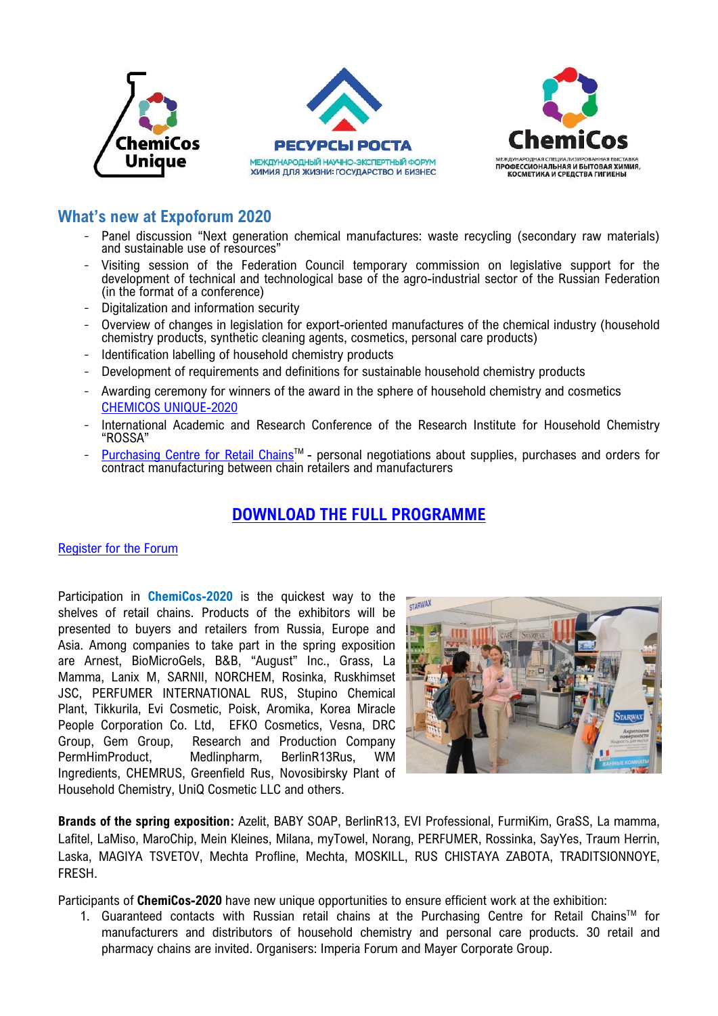





## **What's new at Expoforum 2020**

- Panel discussion "Next generation chemical manufactures: waste recycling (secondary raw materials) and sustainable use of resources"
- Visiting session of the Federation Council temporary commission on legislative support for the development of technical and technological base of the agro-industrial sector of the Russian Federation (in the format of a conference)
- Digitalization and information security
- Overview of changes in legislation for export-oriented manufactures of the chemical industry (household chemistry products, synthetic cleaning agents, cosmetics, personal care products)
- Identification labelling of household chemistry products
- Development of requirements and definitions for sustainable household chemistry products
- Awarding ceremony for winners of the award in the sphere of household chemistry and cosmetics [CHEMICOS UNIQUE-2020](https://chemicosunique.ru/)
- International Academic and Research Conference of the Research Institute for Household Chemistry "ROSSA"
- [Purchasing](http://chemicos.ru/exhibition/tsentr-zakupok-setej.html) Centre for Retail Chains<sup>™</sup> personal negotiations about supplies, purchases and orders for contract manufacturing between chain retailers and manufacturers

# **DOWNLOAD THE FULL PROGRAMME**

### Register for the Forum

Participation in **ChemiCos-2020** is the quickest way to the shelves of retail chains. Products of the exhibitors will be presented to buyers and retailers from Russia, Europe and Asia. Among companies to take part in the spring exposition are Arnest, BioMicroGels, В&В, "August" Inc., Grass, La Mamma, Lanix M, SARNII, NORCHEM, Rosinka, Ruskhimset JSC, PERFUMER INTERNATIONAL RUS, Stupino Chemical Plant, Tikkurila, Evi Cosmetic, Poisk, Aromika, Korea Miracle People Corporation Co. Ltd, EFKO Cosmetics, Vesna, DRC Group, Gem Group, Research and Production Company PermHimProduct, Medlinpharm, BerlinR13Rus, WM Ingredients, CHEMRUS, Greenfield Rus, Novosibirsky Plant of Household Chemistry, UniQ Cosmetic LLC and others.



**Brands of the spring exposition:** Azelit, BABY SOAP, BerlinR13, EVI Professional, FurmiKim, GraSS, La mamma, Lafitel, LaMiso, MaroChip, Mein Kleines, Milana, myTowel, Norang, PERFUMER, Rossinka, SayYes, Traum Herrin, Laska, MAGIYA TSVETOV, Mechta Profline, Mechta, MOSKILL, RUS CHISTAYA ZABOTA, TRADITSIONNOYE, FRESH.

Participants of **ChemiCos-2020** have new unique opportunities to ensure efficient work at the exhibition:

1. Guaranteed contacts with Russian retail chains at the Purchasing Centre for Retail Chains™ for manufacturers and distributors of household chemistry and personal care products. 30 retail and pharmacy chains are invited. Organisers: Imperia Forum and Mayer Corporate Group.